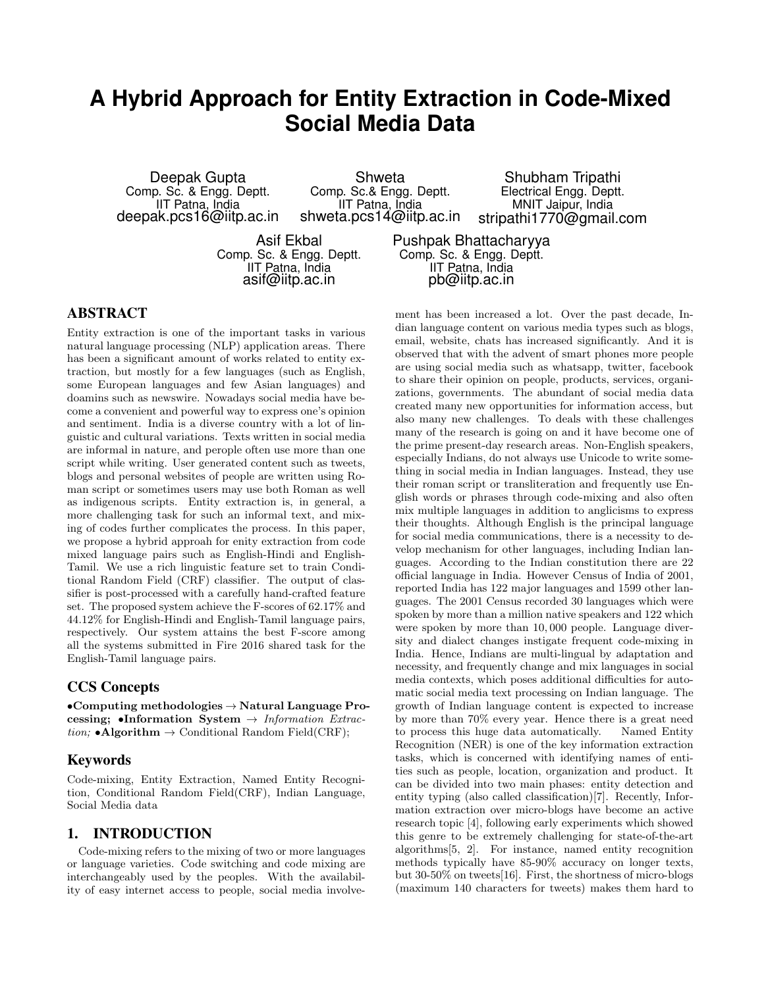# **A Hybrid Approach for Entity Extraction in Code-Mixed Social Media Data**

Deepak Gupta Comp. Sc. & Engg. Deptt. IIT Patna, India deepak.pcs16@iitp.ac.in

Shweta Comp. Sc.& Engg. Deptt. IIT Patna, India shweta.pcs14@iitp.ac.in

Shubham Tripathi Electrical Engg. Deptt. MNIT Jaipur, India stripathi1770@gmail.com

Asif Ekbal Comp. Sc. & Engg. Deptt. IIT Patna, India asif@iitp.ac.in

Pushpak Bhattacharyya Comp. Sc. & Engg. Deptt. IIT Patna, India pb@iitp.ac.in

# ABSTRACT

Entity extraction is one of the important tasks in various natural language processing (NLP) application areas. There has been a significant amount of works related to entity extraction, but mostly for a few languages (such as English, some European languages and few Asian languages) and doamins such as newswire. Nowadays social media have become a convenient and powerful way to express one's opinion and sentiment. India is a diverse country with a lot of linguistic and cultural variations. Texts written in social media are informal in nature, and perople often use more than one script while writing. User generated content such as tweets, blogs and personal websites of people are written using Roman script or sometimes users may use both Roman as well as indigenous scripts. Entity extraction is, in general, a more challenging task for such an informal text, and mixing of codes further complicates the process. In this paper, we propose a hybrid approah for enity extraction from code mixed language pairs such as English-Hindi and English-Tamil. We use a rich linguistic feature set to train Conditional Random Field (CRF) classifier. The output of classifier is post-processed with a carefully hand-crafted feature set. The proposed system achieve the F-scores of 62.17% and 44.12% for English-Hindi and English-Tamil language pairs, respectively. Our system attains the best F-score among all the systems submitted in Fire 2016 shared task for the English-Tamil language pairs.

# CCS Concepts

•Computing methodologies  $\rightarrow$  Natural Language Processing; •Information System  $\rightarrow$  Information Extraction; •Algorithm  $\rightarrow$  Conditional Random Field(CRF);

## Keywords

Code-mixing, Entity Extraction, Named Entity Recognition, Conditional Random Field(CRF), Indian Language, Social Media data

# 1. INTRODUCTION

Code-mixing refers to the mixing of two or more languages or language varieties. Code switching and code mixing are interchangeably used by the peoples. With the availability of easy internet access to people, social media involvement has been increased a lot. Over the past decade, Indian language content on various media types such as blogs, email, website, chats has increased significantly. And it is observed that with the advent of smart phones more people are using social media such as whatsapp, twitter, facebook to share their opinion on people, products, services, organizations, governments. The abundant of social media data created many new opportunities for information access, but also many new challenges. To deals with these challenges many of the research is going on and it have become one of the prime present-day research areas. Non-English speakers, especially Indians, do not always use Unicode to write something in social media in Indian languages. Instead, they use their roman script or transliteration and frequently use English words or phrases through code-mixing and also often mix multiple languages in addition to anglicisms to express their thoughts. Although English is the principal language for social media communications, there is a necessity to develop mechanism for other languages, including Indian languages. According to the Indian constitution there are 22 official language in India. However Census of India of 2001, reported India has 122 major languages and 1599 other languages. The 2001 Census recorded 30 languages which were spoken by more than a million native speakers and 122 which were spoken by more than 10, 000 people. Language diversity and dialect changes instigate frequent code-mixing in India. Hence, Indians are multi-lingual by adaptation and necessity, and frequently change and mix languages in social media contexts, which poses additional difficulties for automatic social media text processing on Indian language. The growth of Indian language content is expected to increase by more than 70% every year. Hence there is a great need to process this huge data automatically. Named Entity Recognition (NER) is one of the key information extraction tasks, which is concerned with identifying names of entities such as people, location, organization and product. It can be divided into two main phases: entity detection and entity typing (also called classification)[7]. Recently, Information extraction over micro-blogs have become an active research topic [4], following early experiments which showed this genre to be extremely challenging for state-of-the-art algorithms[5, 2]. For instance, named entity recognition methods typically have 85-90% accuracy on longer texts, but 30-50% on tweets[16]. First, the shortness of micro-blogs (maximum 140 characters for tweets) makes them hard to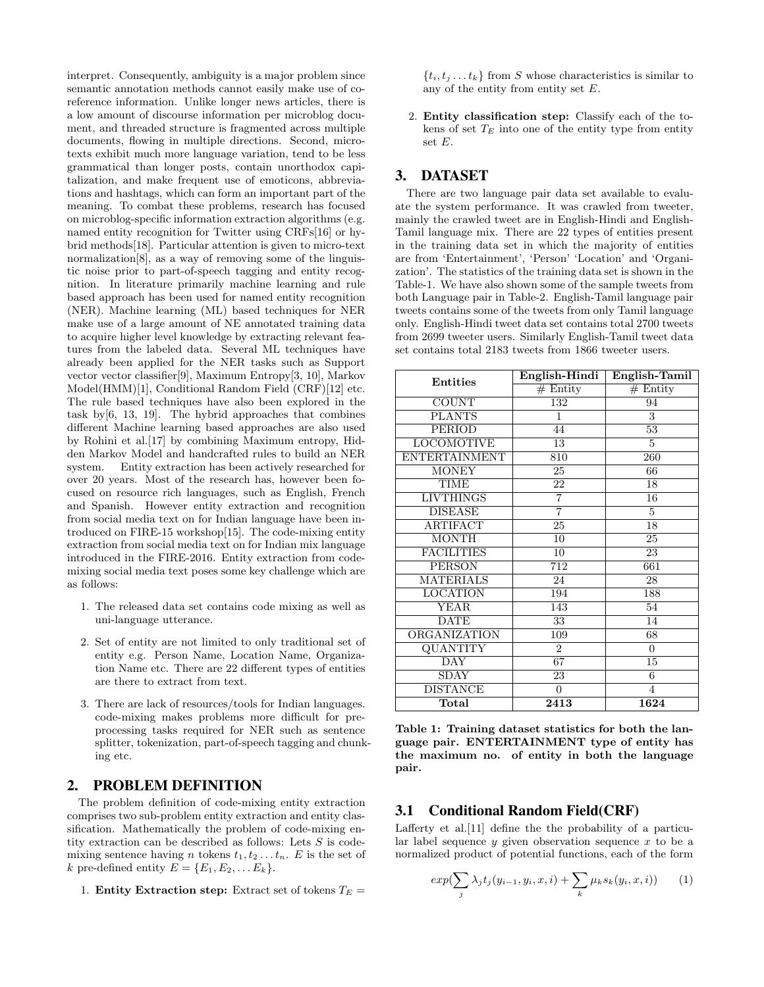interpret. Consequently, ambiguity is a major problem since semantic annotation methods cannot easily make use of coreference information. Unlike longer news articles, there is a low amount of discourse information per microblog document, and threaded structure is fragmented across multiple documents, flowing in multiple directions. Second, microtexts exhibit much more language variation, tend to be less grammatical than longer posts, contain unorthodox capitalization, and make frequent use of emoticons, abbreviations and hashtags, which can form an important part of the meaning. To combat these problems, research has focused on microblog-specific information extraction algorithms (e.g. named entity recognition for Twitter using CRFs[16] or hybrid methods[18]. Particular attention is given to micro-text normalization[8], as a way of removing some of the linguistic noise prior to part-of-speech tagging and entity recognition. In literature primarily machine learning and rule based approach has been used for named entity recognition (NER). Machine learning (ML) based techniques for NER make use of a large amount of NE annotated training data to acquire higher level knowledge by extracting relevant features from the labeled data. Several ML techniques have already been applied for the NER tasks such as Support vector vector classifier[9], Maximum Entropy[3, 10], Markov Model(HMM)[1], Conditional Random Field (CRF)[12] etc. The rule based techniques have also been explored in the task by[6, 13, 19]. The hybrid approaches that combines different Machine learning based approaches are also used by Rohini et al.[17] by combining Maximum entropy, Hidden Markov Model and handcrafted rules to build an NER system. Entity extraction has been actively researched for over 20 years. Most of the research has, however been focused on resource rich languages, such as English, French and Spanish. However entity extraction and recognition from social media text on for Indian language have been introduced on FIRE-15 workshop[15]. The code-mixing entity extraction from social media text on for Indian mix language introduced in the FIRE-2016. Entity extraction from codemixing social media text poses some key challenge which are as follows:

- 1. The released data set contains code mixing as well as uni-language utterance.
- 2. Set of entity are not limited to only traditional set of entity e.g. Person Name, Location Name, Organization Name etc. There are 22 different types of entities are there to extract from text.
- 3. There are lack of resources/tools for Indian languages. code-mixing makes problems more difficult for preprocessing tasks required for NER such as sentence splitter, tokenization, part-of-speech tagging and chunking etc.

## 2. PROBLEM DEFINITION

The problem definition of code-mixing entity extraction comprises two sub-problem entity extraction and entity classification. Mathematically the problem of code-mixing entity extraction can be described as follows: Lets  $S$  is codemixing sentence having n tokens  $t_1, t_2, \ldots t_n$ . E is the set of k pre-defined entity  $E = \{E_1, E_2, \dots E_k\}.$ 

1. Entity Extraction step: Extract set of tokens  $T_E =$ 

 $\{t_i, t_j \dots t_k\}$  from S whose characteristics is similar to any of the entity from entity set E.

2. Entity classification step: Classify each of the tokens of set  $T_E$  into one of the entity type from entity set E.

## 3. DATASET

There are two language pair data set available to evaluate the system performance. It was crawled from tweeter, mainly the crawled tweet are in English-Hindi and English-Tamil language mix. There are 22 types of entities present in the training data set in which the majority of entities are from 'Entertainment', 'Person' 'Location' and 'Organization'. The statistics of the training data set is shown in the Table-1. We have also shown some of the sample tweets from both Language pair in Table-2. English-Tamil language pair tweets contains some of the tweets from only Tamil language only. English-Hindi tweet data set contains total 2700 tweets from 2699 tweeter users. Similarly English-Tamil tweet data set contains total 2183 tweets from 1866 tweeter users.

| <b>Entities</b>      | English-Hindi    | English-Tamil   |  |  |  |  |
|----------------------|------------------|-----------------|--|--|--|--|
|                      | $#$ Entity       | $#$ Entity      |  |  |  |  |
| <b>COUNT</b>         | 132              | 94              |  |  |  |  |
| <b>PLANTS</b>        | 1                | 3               |  |  |  |  |
| <b>PERIOD</b>        | 44               | 53              |  |  |  |  |
| <b>LOCOMOTIVE</b>    | 13               | 5               |  |  |  |  |
| <b>ENTERTAINMENT</b> | 810              | 260             |  |  |  |  |
| <b>MONEY</b>         | 25               | 66              |  |  |  |  |
| TIME                 | 22               | 18              |  |  |  |  |
| <b>LIVTHINGS</b>     | $\overline{7}$   | 16              |  |  |  |  |
| <b>DISEASE</b>       | 7                | 5               |  |  |  |  |
| <b>ARTIFACT</b>      | 25               | $\overline{18}$ |  |  |  |  |
| <b>MONTH</b>         | 10               | 25              |  |  |  |  |
| <b>FACILITIES</b>    | 10               | 23              |  |  |  |  |
| <b>PERSON</b>        | 712              | 661             |  |  |  |  |
| <b>MATERIALS</b>     | 24               | 28              |  |  |  |  |
| LOCATION             | 194              | 188             |  |  |  |  |
| <b>YEAR</b>          | 143              | 54              |  |  |  |  |
| <b>DATE</b>          | 33               | 14              |  |  |  |  |
| ORGANIZATION         | 109              | 68              |  |  |  |  |
| QUANTITY             | 2                | $\Omega$        |  |  |  |  |
| <b>DAY</b>           | 67               | 15              |  |  |  |  |
| SDAY                 | 23               | 6               |  |  |  |  |
| <b>DISTANCE</b>      | $\boldsymbol{0}$ | $\overline{4}$  |  |  |  |  |
| Total                | 2413             | 1624            |  |  |  |  |

Table 1: Training dataset statistics for both the language pair. ENTERTAINMENT type of entity has the maximum no. of entity in both the language pair.

#### 3.1 Conditional Random Field(CRF)

Lafferty et al.[11] define the the probability of a particular label sequence  $y$  given observation sequence  $x$  to be a normalized product of potential functions, each of the form

$$
exp(\sum_{j} \lambda_j t_j(y_{i-1}, y_i, x, i) + \sum_{k} \mu_k s_k(y_i, x, i)) \qquad (1)
$$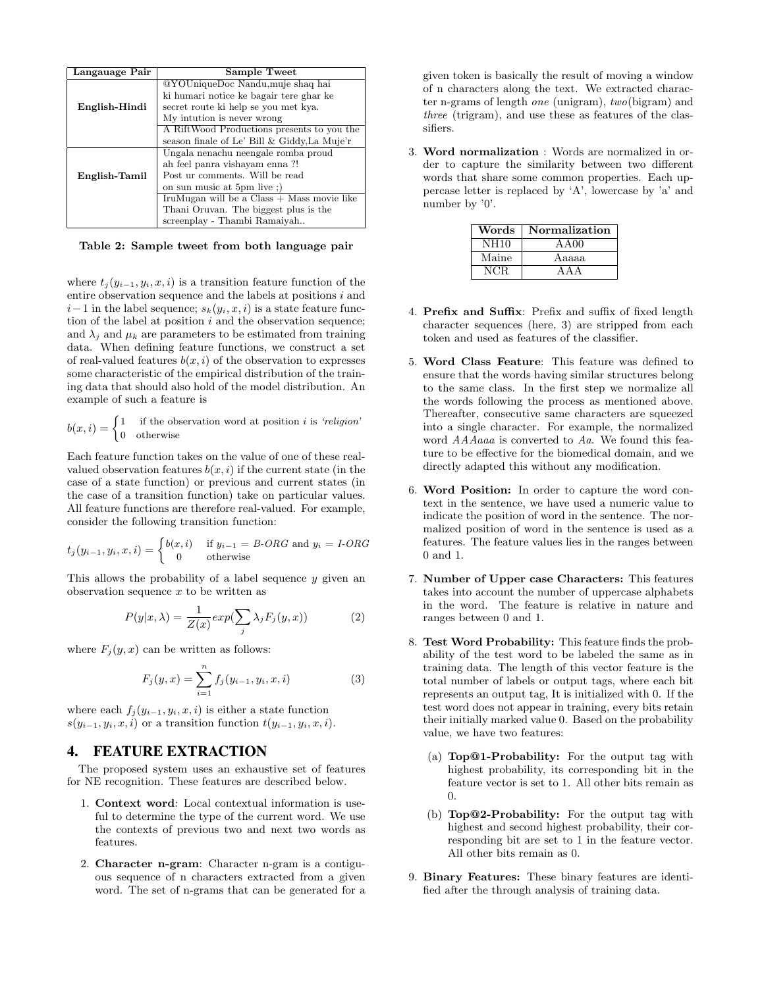| Langauage Pair | Sample Tweet                                 |  |  |  |  |  |  |
|----------------|----------------------------------------------|--|--|--|--|--|--|
|                | @YOUniqueDoc Nandu, muje shaq hai            |  |  |  |  |  |  |
|                | ki humari notice ke bagair tere ghar ke      |  |  |  |  |  |  |
| English-Hindi  | secret route ki help se you met kya.         |  |  |  |  |  |  |
|                | My intution is never wrong                   |  |  |  |  |  |  |
|                | A RiftWood Productions presents to you the   |  |  |  |  |  |  |
|                | season finale of Le' Bill & Giddy, La Muje'r |  |  |  |  |  |  |
|                | Ungala nenachu neengale romba proud          |  |  |  |  |  |  |
|                | ah feel panra vishayam enna ?!               |  |  |  |  |  |  |
| English-Tamil  | Post ur comments. Will be read               |  |  |  |  |  |  |
|                | on sun music at 5pm live;                    |  |  |  |  |  |  |
|                | IruMugan will be a $Class + Mass$ movie like |  |  |  |  |  |  |
|                | Than Oruvan. The biggest plus is the         |  |  |  |  |  |  |
|                | screenplay - Thambi Ramaiyah                 |  |  |  |  |  |  |

Table 2: Sample tweet from both language pair

where  $t_j(y_{i-1}, y_i, x, i)$  is a transition feature function of the entire observation sequence and the labels at positions  $i$  and  $i-1$  in the label sequence;  $s_k(y_i, x, i)$  is a state feature function of the label at position  $i$  and the observation sequence; and  $\lambda_i$  and  $\mu_k$  are parameters to be estimated from training data. When defining feature functions, we construct a set of real-valued features  $b(x, i)$  of the observation to expresses some characteristic of the empirical distribution of the training data that should also hold of the model distribution. An example of such a feature is

$$
b(x,i) = \begin{cases} 1 & \text{if the observation word at position } i \text{ is 'religion'}\\ 0 & \text{otherwise} \end{cases}
$$

Each feature function takes on the value of one of these realvalued observation features  $b(x, i)$  if the current state (in the case of a state function) or previous and current states (in the case of a transition function) take on particular values. All feature functions are therefore real-valued. For example, consider the following transition function:

$$
t_j(y_{i-1}, y_i, x, i) = \begin{cases} b(x, i) & \text{if } y_{i-1} = B\text{-}ORG \text{ and } y_i = I\text{-}ORG\\ 0 & \text{otherwise} \end{cases}
$$

This allows the probability of a label sequence  $y$  given an observation sequence  $x$  to be written as

$$
P(y|x,\lambda) = \frac{1}{Z(x)} exp(\sum_{j} \lambda_j F_j(y,x))
$$
 (2)

where  $F_j(y, x)$  can be written as follows:

$$
F_j(y, x) = \sum_{i=1}^n f_j(y_{i-1}, y_i, x, i)
$$
 (3)

where each  $f_i(y_{i-1}, y_i, x, i)$  is either a state function  $s(y_{i-1}, y_i, x, i)$  or a transition function  $t(y_{i-1}, y_i, x, i)$ .

#### 4. FEATURE EXTRACTION

The proposed system uses an exhaustive set of features for NE recognition. These features are described below.

- 1. Context word: Local contextual information is useful to determine the type of the current word. We use the contexts of previous two and next two words as features.
- 2. Character n-gram: Character n-gram is a contiguous sequence of n characters extracted from a given word. The set of n-grams that can be generated for a

given token is basically the result of moving a window of n characters along the text. We extracted character n-grams of length one (unigram), two(bigram) and three (trigram), and use these as features of the classifiers.

3. Word normalization : Words are normalized in order to capture the similarity between two different words that share some common properties. Each uppercase letter is replaced by 'A', lowercase by 'a' and number by '0'.

| Words       | Normalization |
|-------------|---------------|
| <b>NH10</b> | AA00          |
| Maine       | Aaaaa         |
| NCR.        | A A A         |

- 4. Prefix and Suffix: Prefix and suffix of fixed length character sequences (here, 3) are stripped from each token and used as features of the classifier.
- 5. Word Class Feature: This feature was defined to ensure that the words having similar structures belong to the same class. In the first step we normalize all the words following the process as mentioned above. Thereafter, consecutive same characters are squeezed into a single character. For example, the normalized word AAAaaa is converted to Aa. We found this feature to be effective for the biomedical domain, and we directly adapted this without any modification.
- 6. Word Position: In order to capture the word context in the sentence, we have used a numeric value to indicate the position of word in the sentence. The normalized position of word in the sentence is used as a features. The feature values lies in the ranges between 0 and 1.
- 7. Number of Upper case Characters: This features takes into account the number of uppercase alphabets in the word. The feature is relative in nature and ranges between 0 and 1.
- 8. Test Word Probability: This feature finds the probability of the test word to be labeled the same as in training data. The length of this vector feature is the total number of labels or output tags, where each bit represents an output tag, It is initialized with 0. If the test word does not appear in training, every bits retain their initially marked value 0. Based on the probability value, we have two features:
	- (a) Top@1-Probability: For the output tag with highest probability, its corresponding bit in the feature vector is set to 1. All other bits remain as 0.
	- (b) Top@2-Probability: For the output tag with highest and second highest probability, their corresponding bit are set to 1 in the feature vector. All other bits remain as 0.
- 9. Binary Features: These binary features are identified after the through analysis of training data.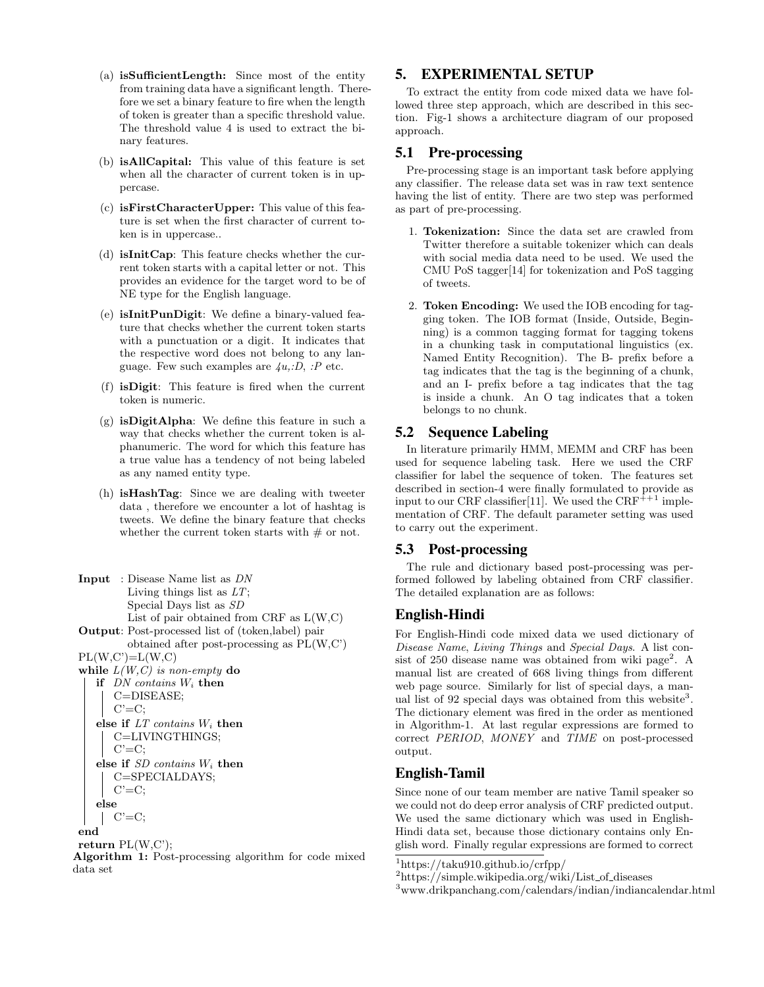- (a) isSufficientLength: Since most of the entity from training data have a significant length. Therefore we set a binary feature to fire when the length of token is greater than a specific threshold value. The threshold value 4 is used to extract the binary features.
- (b) isAllCapital: This value of this feature is set when all the character of current token is in uppercase.
- (c) isFirstCharacterUpper: This value of this feature is set when the first character of current token is in uppercase..
- (d) isInitCap: This feature checks whether the current token starts with a capital letter or not. This provides an evidence for the target word to be of NE type for the English language.
- (e) isInitPunDigit: We define a binary-valued feature that checks whether the current token starts with a punctuation or a digit. It indicates that the respective word does not belong to any language. Few such examples are  $\lambda u, D, P$  etc.
- (f) isDigit: This feature is fired when the current token is numeric.
- $(g)$  isDigitAlpha: We define this feature in such a way that checks whether the current token is alphanumeric. The word for which this feature has a true value has a tendency of not being labeled as any named entity type.
- (h) isHashTag: Since we are dealing with tweeter data , therefore we encounter a lot of hashtag is tweets. We define the binary feature that checks whether the current token starts with  $#$  or not.
- Input : Disease Name list as DN Living things list as  $LT$ ; Special Days list as SD List of pair obtained from CRF as L(W,C) Output: Post-processed list of (token,label) pair obtained after post-processing as PL(W,C')  $PL(W,C')=L(W,C)$ while  $L(W, C)$  is non-empty do if  $DN$  contains  $W_i$  then C=DISEASE;  $C' = C$ ; else if  $LT$  contains  $W_i$  then C=LIVINGTHINGS;  $C' = C$ : else if SD contains W<sup>i</sup> then C=SPECIALDAYS;  $C' = C$ ; else  $\mid$  C'=C; end return  $PL(W,C)$ ; Algorithm 1: Post-processing algorithm for code mixed data set

## 5. EXPERIMENTAL SETUP

To extract the entity from code mixed data we have followed three step approach, which are described in this section. Fig-1 shows a architecture diagram of our proposed approach.

#### 5.1 Pre-processing

Pre-processing stage is an important task before applying any classifier. The release data set was in raw text sentence having the list of entity. There are two step was performed as part of pre-processing.

- 1. Tokenization: Since the data set are crawled from Twitter therefore a suitable tokenizer which can deals with social media data need to be used. We used the CMU PoS tagger[14] for tokenization and PoS tagging of tweets.
- 2. Token Encoding: We used the IOB encoding for tagging token. The IOB format (Inside, Outside, Beginning) is a common tagging format for tagging tokens in a chunking task in computational linguistics (ex. Named Entity Recognition). The B- prefix before a tag indicates that the tag is the beginning of a chunk, and an I- prefix before a tag indicates that the tag is inside a chunk. An O tag indicates that a token belongs to no chunk.

# 5.2 Sequence Labeling

In literature primarily HMM, MEMM and CRF has been used for sequence labeling task. Here we used the CRF classifier for label the sequence of token. The features set described in section-4 were finally formulated to provide as input to our CRF classifier [11]. We used the  $CRF^{++1}$  implementation of CRF. The default parameter setting was used to carry out the experiment.

#### 5.3 Post-processing

The rule and dictionary based post-processing was performed followed by labeling obtained from CRF classifier. The detailed explanation are as follows:

# English-Hindi

For English-Hindi code mixed data we used dictionary of Disease Name, Living Things and Special Days. A list consist of 250 disease name was obtained from wiki page<sup>2</sup>. A manual list are created of 668 living things from different web page source. Similarly for list of special days, a manual list of 92 special days was obtained from this website<sup>3</sup>. The dictionary element was fired in the order as mentioned in Algorithm-1. At last regular expressions are formed to correct PERIOD, MONEY and TIME on post-processed output.

# English-Tamil

Since none of our team member are native Tamil speaker so we could not do deep error analysis of CRF predicted output. We used the same dictionary which was used in English-Hindi data set, because those dictionary contains only English word. Finally regular expressions are formed to correct

<sup>1</sup>https://taku910.github.io/crfpp/

 $2$ https://simple.wikipedia.org/wiki/List\_of\_diseases

 $^3 \rm{www.drikpanchanging.com/calendars/indian/indiancalendar.html}$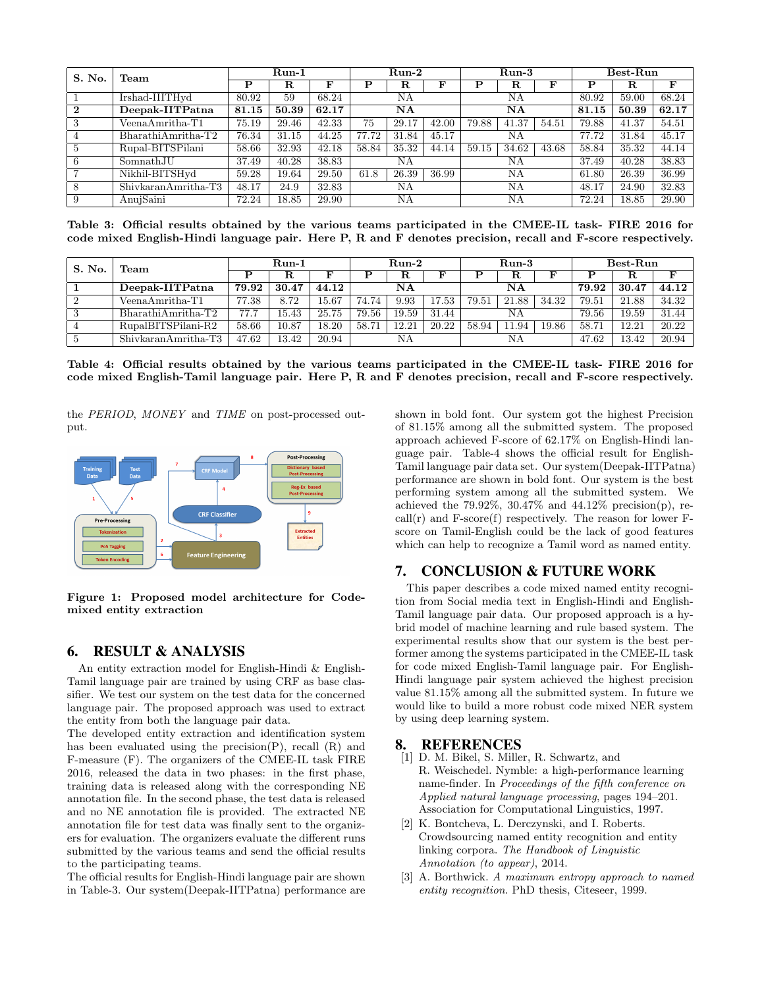| S. No.       | Team                 | $Run-1$ |            |       | $Run-2$ |       |       | $Run-3$ |       |       | Best-Run |             |       |
|--------------|----------------------|---------|------------|-------|---------|-------|-------|---------|-------|-------|----------|-------------|-------|
|              |                      | P       | $_{\rm R}$ | F     | Р       | R     | F     | ם       | R.    | F     | Р        | $\mathbf R$ | F     |
|              | Irshad-IIITHyd       | 80.92   | 59         | 68.24 | ΝA      |       |       | NΑ      |       |       | 80.92    | 59.00       | 68.24 |
| $\mathbf{2}$ | Deepak-IITPatna      | 81.15   | 50.39      | 62.17 | NΑ      |       |       | NΑ      |       |       | 81.15    | 50.39       | 62.17 |
| 3            | $VeenaAmritha-T1$    | 75.19   | 29.46      | 42.33 | 75      | 29.17 | 42.00 | 79.88   | 41.37 | 54.51 | 79.88    | 41.37       | 54.51 |
|              | $BharathiAmritha-T2$ | 76.34   | 31.15      | 44.25 | 77.72   | 31.84 | 45.17 |         | NΑ    |       |          | 31.84       | 45.17 |
| 5            | Rupal-BITSPilani     | 58.66   | 32.93      | 42.18 | 58.84   | 35.32 | 44.14 | 59.15   | 34.62 | 43.68 | 58.84    | 35.32       | 44.14 |
| 6            | SomnathJU            | 37.49   | 40.28      | 38.83 |         | ΝA    |       | NΑ      |       | 37.49 | 40.28    | 38.83       |       |
|              | Nikhil-BITSHyd       | 59.28   | 19.64      | 29.50 | 61.8    | 26.39 | 36.99 | ΝA      |       | 61.80 | 26.39    | 36.99       |       |
| 8            | ShivkaranAmritha-T3  | 48.17   | 24.9       | 32.83 | ΝA      |       |       | ΝA      |       | 48.17 | 24.90    | 32.83       |       |
|              | AnujSaini            | 72.24   | 18.85      | 29.90 | ΝA      |       |       | NΑ      |       |       | 72.24    | 18.85       | 29.90 |

Table 3: Official results obtained by the various teams participated in the CMEE-IL task- FIRE 2016 for code mixed English-Hindi language pair. Here P, R and F denotes precision, recall and F-score respectively.

| S. No.         | Team                  | Run-1 |       |           | $Run-2$ |       |       | Run-3 |       |       | $\operatorname{Best-Run}$ |       |       |
|----------------|-----------------------|-------|-------|-----------|---------|-------|-------|-------|-------|-------|---------------------------|-------|-------|
|                |                       |       | R     |           |         | ĸ     |       |       | ĸ     |       |                           | ĸ     |       |
|                | Deepak-IITPatna       | 79.92 | 30.47 | 44.12     |         | NA    |       |       | NΑ    |       | 79.92                     | 30.47 | 44.12 |
| $\overline{2}$ | $VeenaAmritha-T1$     | 77.38 | 8.72  | $15.67\,$ | 74.74   | 9.93  | 17.53 | 79.51 | 21.88 | 34.32 | 79.51                     | 21.88 | 34.32 |
| 3              | Bharathi Amritha-T2   | 77.7  | 15.43 | 25.75     | 79.56   | 19.59 | 31.44 |       | NΑ    |       | 79.56                     | 19.59 | 31.44 |
|                | RupalBITSPilani-R2    | 58.66 | 10.87 | 18.20     | 58.71   | 12.21 | 20.22 | 58.94 | 1.94  | 19.86 | 58.7                      | 12.21 | 20.22 |
|                | $ShivkaranAmritha-T3$ | 47.62 | 13.42 | 20.94     |         | ΝA    |       |       | NΑ    |       | 47.62                     | 13.42 | 20.94 |

Table 4: Official results obtained by the various teams participated in the CMEE-IL task- FIRE 2016 for code mixed English-Tamil language pair. Here P, R and F denotes precision, recall and F-score respectively.

the PERIOD, MONEY and TIME on post-processed output.



Figure 1: Proposed model architecture for Codemixed entity extraction

## 6. RESULT & ANALYSIS

An entity extraction model for English-Hindi & English-Tamil language pair are trained by using CRF as base classifier. We test our system on the test data for the concerned language pair. The proposed approach was used to extract the entity from both the language pair data.

The developed entity extraction and identification system has been evaluated using the precision $(P)$ , recall  $(R)$  and F-measure (F). The organizers of the CMEE-IL task FIRE 2016, released the data in two phases: in the first phase, training data is released along with the corresponding NE annotation file. In the second phase, the test data is released and no NE annotation file is provided. The extracted NE annotation file for test data was finally sent to the organizers for evaluation. The organizers evaluate the different runs submitted by the various teams and send the official results to the participating teams.

The official results for English-Hindi language pair are shown in Table-3. Our system(Deepak-IITPatna) performance are shown in bold font. Our system got the highest Precision of 81.15% among all the submitted system. The proposed approach achieved F-score of 62.17% on English-Hindi language pair. Table-4 shows the official result for English-Tamil language pair data set. Our system(Deepak-IITPatna) performance are shown in bold font. Our system is the best performing system among all the submitted system. We achieved the  $79.92\%$ ,  $30.47\%$  and  $44.12\%$  precision(p), re $call(r)$  and  $F-score(f)$  respectively. The reason for lower  $F$ score on Tamil-English could be the lack of good features which can help to recognize a Tamil word as named entity.

# 7. CONCLUSION & FUTURE WORK

This paper describes a code mixed named entity recognition from Social media text in English-Hindi and English-Tamil language pair data. Our proposed approach is a hybrid model of machine learning and rule based system. The experimental results show that our system is the best performer among the systems participated in the CMEE-IL task for code mixed English-Tamil language pair. For English-Hindi language pair system achieved the highest precision value 81.15% among all the submitted system. In future we would like to build a more robust code mixed NER system by using deep learning system.

#### 8. REFERENCES

- [1] D. M. Bikel, S. Miller, R. Schwartz, and R. Weischedel. Nymble: a high-performance learning name-finder. In Proceedings of the fifth conference on Applied natural language processing, pages 194–201. Association for Computational Linguistics, 1997.
- [2] K. Bontcheva, L. Derczynski, and I. Roberts. Crowdsourcing named entity recognition and entity linking corpora. The Handbook of Linguistic Annotation (to appear), 2014.
- [3] A. Borthwick. A maximum entropy approach to named entity recognition. PhD thesis, Citeseer, 1999.